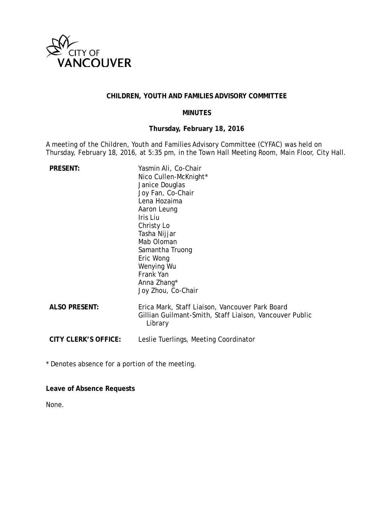

## **CHILDREN, YOUTH AND FAMILIES ADVISORY COMMITTEE**

#### **MINUTES**

### **Thursday, February 18, 2016**

A meeting of the Children, Youth and Families Advisory Committee (CYFAC) was held on Thursday, February 18, 2016, at 5:35 pm, in the Town Hall Meeting Room, Main Floor, City Hall.

| <b>PRESENT:</b>      | Yasmin Ali, Co-Chair<br>Nico Cullen-McKnight*<br>Janice Douglas<br>Joy Fan, Co-Chair<br>Lena Hozaima<br>Aaron Leung<br>Iris Liu<br>Christy Lo<br>Tasha Nijjar<br>Mab Oloman<br>Samantha Truong<br>Eric Wong<br>Wenying Wu<br>Frank Yan<br>Anna Zhang*<br>Joy Zhou, Co-Chair |
|----------------------|-----------------------------------------------------------------------------------------------------------------------------------------------------------------------------------------------------------------------------------------------------------------------------|
| <b>ALSO PRESENT:</b> | Erica Mark, Staff Liaison, Vancouver Park Board<br>Gillian Guilmant-Smith, Staff Liaison, Vancouver Public<br>Library                                                                                                                                                       |
| CITY CLERK'S OFFICE: | Leslie Tuerlings, Meeting Coordinator                                                                                                                                                                                                                                       |

\* Denotes absence for a portion of the meeting.

**Leave of Absence Requests**

None.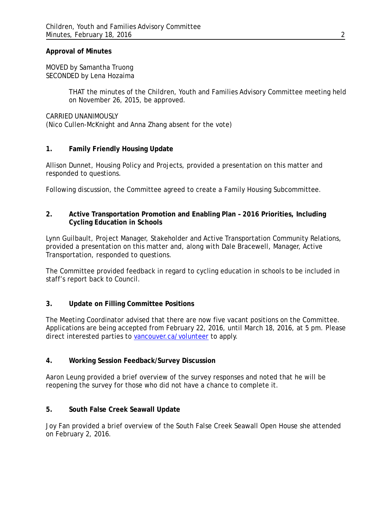#### **Approval of Minutes**

MOVED by Samantha Truong SECONDED by Lena Hozaima

> THAT the minutes of the Children, Youth and Families Advisory Committee meeting held on November 26, 2015, be approved.

CARRIED UNANIMOUSLY (Nico Cullen-McKnight and Anna Zhang absent for the vote)

### **1. Family Friendly Housing Update**

Allison Dunnet, Housing Policy and Projects, provided a presentation on this matter and responded to questions.

Following discussion, the Committee agreed to create a Family Housing Subcommittee.

### **2. Active Transportation Promotion and Enabling Plan – 2016 Priorities, Including Cycling Education in Schools**

Lynn Guilbault, Project Manager, Stakeholder and Active Transportation Community Relations, provided a presentation on this matter and, along with Dale Bracewell, Manager, Active Transportation, responded to questions.

The Committee provided feedback in regard to cycling education in schools to be included in staff's report back to Council.

### **3. Update on Filling Committee Positions**

The Meeting Coordinator advised that there are now five vacant positions on the Committee. Applications are being accepted from February 22, 2016, until March 18, 2016, at 5 pm. Please direct interested parties to [vancouver.ca/volunteer](http://vancouver.ca/your-government/vacancies-for-advisory-boards-committees.aspx) to apply.

#### **4. Working Session Feedback/Survey Discussion**

Aaron Leung provided a brief overview of the survey responses and noted that he will be reopening the survey for those who did not have a chance to complete it.

### **5. South False Creek Seawall Update**

Joy Fan provided a brief overview of the South False Creek Seawall Open House she attended on February 2, 2016.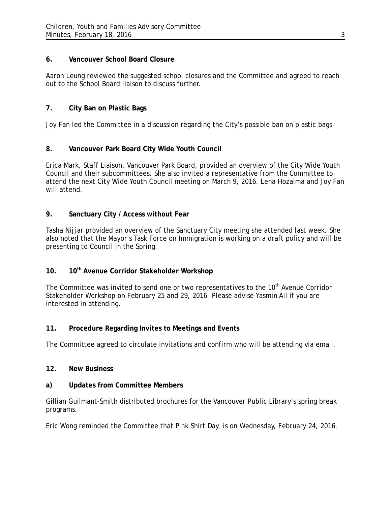### **6. Vancouver School Board Closure**

Aaron Leung reviewed the suggested school closures and the Committee and agreed to reach out to the School Board liaison to discuss further.

# **7. City Ban on Plastic Bags**

Joy Fan led the Committee in a discussion regarding the City's possible ban on plastic bags.

# **8. Vancouver Park Board City Wide Youth Council**

Erica Mark, Staff Liaison, Vancouver Park Board, provided an overview of the City Wide Youth Council and their subcommittees. She also invited a representative from the Committee to attend the next City Wide Youth Council meeting on March 9, 2016. Lena Hozaima and Joy Fan will attend.

## **9. Sanctuary City / Access without Fear**

Tasha Nijjar provided an overview of the Sanctuary City meeting she attended last week. She also noted that the Mayor's Task Force on Immigration is working on a draft policy and will be presenting to Council in the Spring.

# **10. 10th Avenue Corridor Stakeholder Workshop**

The Committee was invited to send one or two representatives to the 10<sup>th</sup> Avenue Corridor Stakeholder Workshop on February 25 and 29, 2016. Please advise Yasmin Ali if you are interested in attending.

# **11. Procedure Regarding Invites to Meetings and Events**

The Committee agreed to circulate invitations and confirm who will be attending via email.

### **12. New Business**

### **a) Updates from Committee Members**

Gillian Guilmant-Smith distributed brochures for the Vancouver Public Library's spring break programs.

Eric Wong reminded the Committee that Pink Shirt Day, is on Wednesday, February 24, 2016.